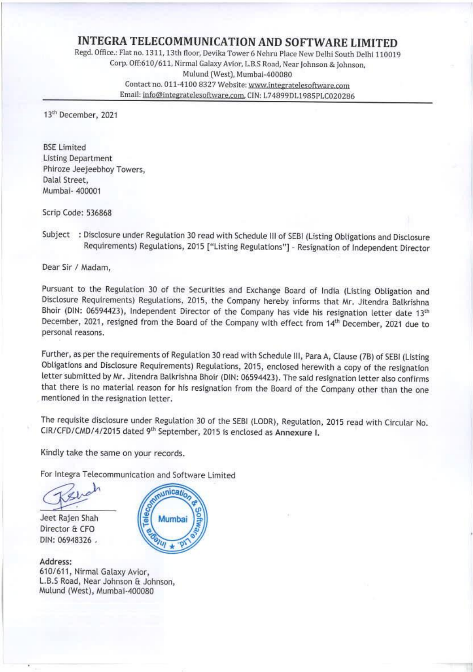## INTEGRA TELECOMMUNICATION AND SOFTWARE LIMITED Regd. Office.: Flat no. 1311, 13th floor, Devika Tower 6 Nehru Place New Delhi South Delhi 110019 Corp. Off:610/611, Nirmal Galaxy Avior, L.B.S Road, Near Johnson & Johnson, Mulund (West), Mumbai-400080<br>Contact no. 011-4100 8327 Website: <u>www.integratelesoftware.com</u><br>Email: <u>info@integratelesoftware.com,</u> CIN: L74899DL1985PLC020286

13<sup>th</sup> December, 2021

BSE Limited<br>Listing Department Phiroze Jeejeebhoy Towers, Dalal Street, Mumbai- 400001

Scrip Code: 536868

Subject: Disclosure under Regulation 30 read with Schedule III of SEBI (Listing Obligations and Disclosure Requirements) Regulations, 2015 ["Listing Regulations") - Resignation of Independent Director

Dear Sir / Madam,

Pursuant to the Regulation 30 of the Securities and Exchange Board of India (Listing Obligation and Disclosure Requirements) Regulations, 2015, the Company hereby informs that Mr. Jitendra Balkrishna Bhoir (DIN: 06594423),

Further, as per the requirements of Regulation 30 read with Schedule III, Para A, Clause (7B) of SEBI (Listing Obligations and Disclosure Requirements) Regulations, 2015, enclosed herewith a copy of the resignation letter

The requisite disclosure under Regulation 30 of the SEBI (LODR), Regulation, 2015 read with Circular No.<br>CIR/CFD/CMD/4/2015 dated 9<sup>th</sup> September, 2015 is enclosed as Annexure I.

Kindly take the same on your records.

For Integra Telecommunication and Software Limited  $\mathcal{L}_{\text{unicative}}$ 

Jeet Rajen Shah<br>Director & CFO DIN: 06948326 .

Address:<br>610/611, Nirmal Galaxy Avior,<br>L.B.S Road, Near Johnson & Johnson,<br>Mulund (West), Mumbai-400080

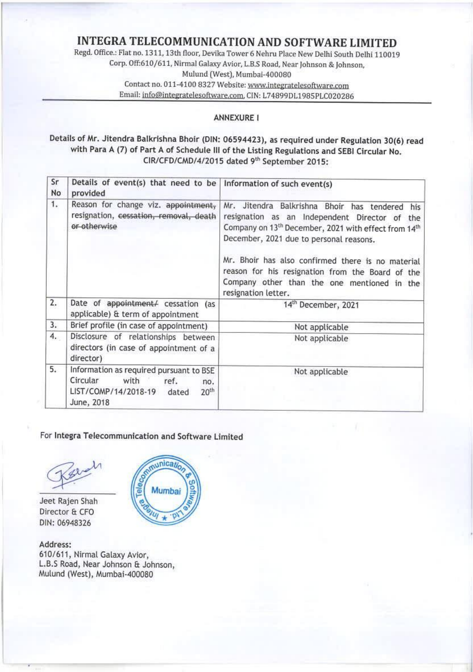### INTEGRA TELECOMMUNICATION AND SOFTWARE LIMITED

Regd. Office.: Flat no, 1311, 13th floor, Devika Tower 6 Nehru Place New Delhi South Delhi 110019 Corp. Off:610/611, Nirmal Galaxy Avior, L.B.S Road, Near Johnson & Johnson, Mulund (West), Mumbai-400080<br>Contact no. 011-4100 8327 Website: www.integratelesoftware.com Email: info@integratelesoftware.com, CIN: L74899DL1985PLC020286 INTEGRA TELECOMMUNICAT<br>
Regd. Office: Flat no. 1311, 13th floor, Devika To<br>
Corp. Off:610/611, Nirmal Galaxy Avic<br>
Mulund (West),<br>
Contact no. 011-4100 8327 Webs<br>
Email: <u>info@integratelesoftware.cc</u><br>
Email: <u>info@integrat</u> INTEGRA TELECOMMUNICAT<br>
Regd. Office.: Flat no. 1311, 13th floor, Devika To<br>
Corp. Off:610/611, Nirmal Galaxy Avic<br>
Mulund (West),<br>
Contact no. 011-4100 8327 Webs<br>
Email: <u>info@integratelesoftware.cc</u><br>
Email: <u>info@integra</u>

#### ANNEXURE I

# Details of Mr. Jitendra Balkrishna Bhoir (DIN: 06594423), as required under Regulation 30(6) read with Para A (7) of Part A of Schedule Ill of the Listing Regulations and SEBI Circular No. CIR/CFD/CMD/4/2015 dated 9" September 2015:

|          |                                                                                                                                               | INTEGRA TELECOMMUNICATION AND SOFTWARE LIMITED<br>Regd. Office.: Flat no. 1311, 13th floor, Devika Tower 6 Nehru Place New Delhi South Delhi 110019<br>Corp. Off:610/611, Nirmal Galaxy Avior, L.B.S Road, Near Johnson & Johnson,                                                                                                                                                                           |
|----------|-----------------------------------------------------------------------------------------------------------------------------------------------|--------------------------------------------------------------------------------------------------------------------------------------------------------------------------------------------------------------------------------------------------------------------------------------------------------------------------------------------------------------------------------------------------------------|
|          |                                                                                                                                               | Mulund (West), Mumbai-400080                                                                                                                                                                                                                                                                                                                                                                                 |
|          |                                                                                                                                               | Contact no. 011-4100 8327 Website: www.integratelesoftware.com<br>Email: info@integratelesoftware.com, CIN: L74899DL1985PLC020286                                                                                                                                                                                                                                                                            |
|          |                                                                                                                                               | <b>ANNEXURE I</b><br>Details of Mr. Jitendra Balkrishna Bhoir (DIN: 06594423), as required under Regulation 30(6) read<br>with Para A (7) of Part A of Schedule III of the Listing Regulations and SEBI Circular No.<br>CIR/CFD/CMD/4/2015 dated 9th September 2015:                                                                                                                                         |
| Sr<br>No | Details of event(s) that need to be<br>provided                                                                                               | Information of such event(s)                                                                                                                                                                                                                                                                                                                                                                                 |
| 1.       | Reason for change viz. appointment,<br>resignation, cessation, removal, death<br>or otherwise                                                 | Mr. Jitendra Balkrishna Bhoir has tendered<br>his<br>resignation as an Independent Director of the<br>Company on 13 <sup>th</sup> December, 2021 with effect from 14 <sup>th</sup><br>December, 2021 due to personal reasons.<br>Mr. Bhoir has also confirmed there is no material<br>reason for his resignation from the Board of the<br>Company other than the one mentioned in the<br>resignation letter. |
| 2.       | Date of appointment/ cessation (as<br>applicable) & term of appointment                                                                       | 14th December, 2021                                                                                                                                                                                                                                                                                                                                                                                          |
| 3.       | Brief profile (in case of appointment)                                                                                                        | Not applicable                                                                                                                                                                                                                                                                                                                                                                                               |
| 4.       | Disclosure of relationships between<br>directors (in case of appointment of a<br>director)                                                    | Not applicable                                                                                                                                                                                                                                                                                                                                                                                               |
| 5.       | Information as required pursuant to BSE<br>Circular<br>with<br>ref.<br>no.<br>LIST/COMP/14/2018-19<br>20 <sup>th</sup><br>dated<br>June, 2018 | Not applicable                                                                                                                                                                                                                                                                                                                                                                                               |

### For Integra Telecommunication and Software Limited

nunicatio

DIN: 06948326



Address: 610/611, Nirmal Galaxy Avior, L.B.S Road, Near Johnson & Johnson, Mulund (West), Mumbai-400080